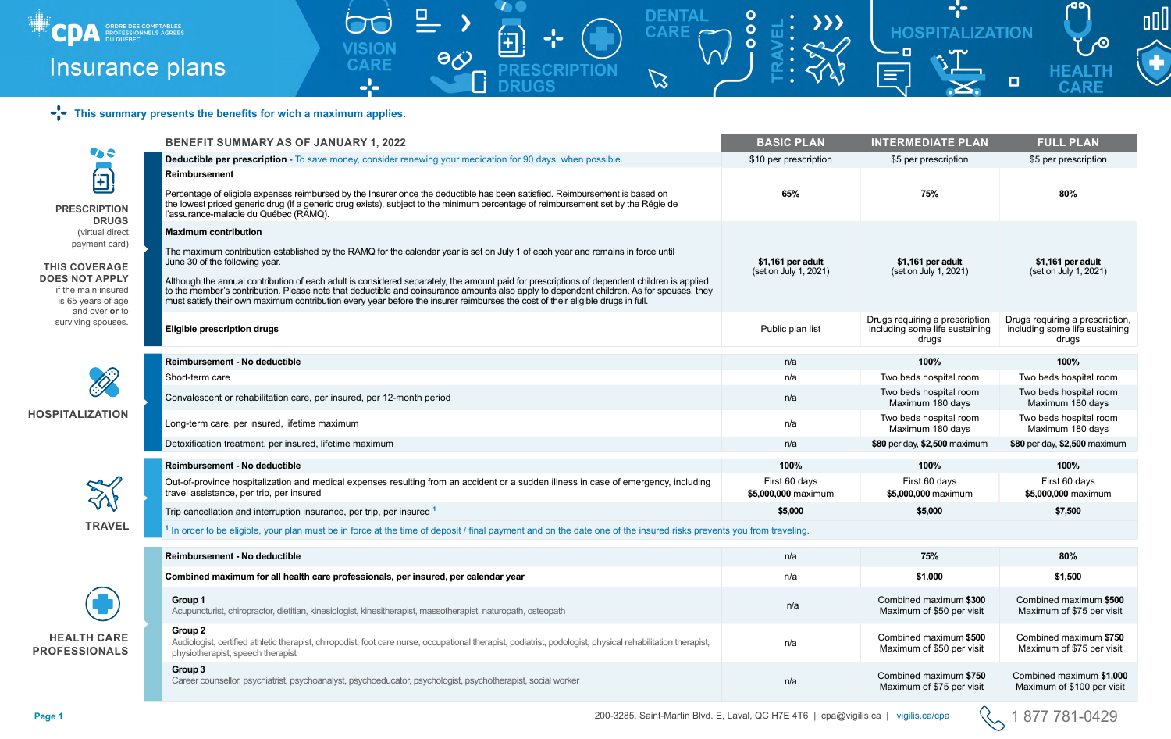|                                                                                                                                    | <b>BENEFIT SUMMARY AS OF JANUARY 1, 2022</b>                                                                                                                                                                                                                                                                                                                                                                              | <b>BASIC PLAN</b>                    | <b>INTERMEDIATE PLAN</b>                                                   | <b>FULL PLAN</b>                                                           |  |  |  |
|------------------------------------------------------------------------------------------------------------------------------------|---------------------------------------------------------------------------------------------------------------------------------------------------------------------------------------------------------------------------------------------------------------------------------------------------------------------------------------------------------------------------------------------------------------------------|--------------------------------------|----------------------------------------------------------------------------|----------------------------------------------------------------------------|--|--|--|
| 45                                                                                                                                 | <b>Deductible per prescription - To save money, consider renewing your medication for 90 days, when possible.</b>                                                                                                                                                                                                                                                                                                         | \$10 per prescription                | \$5 per prescription                                                       | \$5 per prescription                                                       |  |  |  |
| $\begin{bmatrix} \pm \end{bmatrix}$                                                                                                | <b>Reimbursement</b>                                                                                                                                                                                                                                                                                                                                                                                                      |                                      |                                                                            |                                                                            |  |  |  |
| <b>PRESCRIPTION</b>                                                                                                                | Percentage of eligible expenses reimbursed by the Insurer once the deductible has been satisfied. Reimbursement is based on<br>the lowest priced generic drug (if a generic drug exists), subject to the minimum percentage of reimbursement set by the Régie de<br>l'assurance-maladie du Québec (RAMQ).                                                                                                                 | 65%                                  | 75%                                                                        | 80%                                                                        |  |  |  |
| <b>DRUGS</b><br>(virtual direct<br>payment card)                                                                                   | <b>Maximum contribution</b><br>The maximum contribution established by the RAMQ for the calendar year is set on July 1 of each year and remains in force until<br>June 30 of the following year.                                                                                                                                                                                                                          | \$1,161 per adult                    | \$1,161 per adult                                                          | \$1,161 per adult                                                          |  |  |  |
| <b>THIS COVERAGE</b><br><b>DOES NOT APPLY</b><br>if the main insured<br>is 65 years of age<br>and over or to<br>surviving spouses. | Although the annual contribution of each adult is considered separately, the amount paid for prescriptions of dependent children is applied<br>to the member's contribution. Please note that deductible and coinsurance amounts also apply to dependent children. As for spouses, they<br>must satisfy their own maximum contribution every year before the insurer reimburses the cost of their eligible drugs in full. | (set on July 1, 2021)                | (set on July 1, 2021)                                                      | (set on July 1, 2021)                                                      |  |  |  |
|                                                                                                                                    | <b>Eligible prescription drugs</b>                                                                                                                                                                                                                                                                                                                                                                                        | Public plan list                     | Drugs requiring a prescription,<br>including some life sustaining<br>druas | Drugs requiring a prescription,<br>including some life sustaining<br>drugs |  |  |  |
| <u>Si</u><br><b>HOSPITALIZATION</b>                                                                                                | <b>Reimbursement - No deductible</b>                                                                                                                                                                                                                                                                                                                                                                                      | n/a                                  | 100%                                                                       | 100%                                                                       |  |  |  |
|                                                                                                                                    | Short-term care                                                                                                                                                                                                                                                                                                                                                                                                           | n/a                                  | Two beds hospital room                                                     | Two beds hospital room                                                     |  |  |  |
|                                                                                                                                    | Convalescent or rehabilitation care, per insured, per 12-month period                                                                                                                                                                                                                                                                                                                                                     | n/a                                  | Two beds hospital room<br>Maximum 180 days                                 | Two beds hospital room<br>Maximum 180 days                                 |  |  |  |
|                                                                                                                                    | Long-term care, per insured, lifetime maximum                                                                                                                                                                                                                                                                                                                                                                             | n/a                                  | Two beds hospital room<br>Maximum 180 days                                 | Two beds hospital room<br>Maximum 180 days                                 |  |  |  |
|                                                                                                                                    | Detoxification treatment, per insured, lifetime maximum                                                                                                                                                                                                                                                                                                                                                                   | n/a                                  | \$80 per day, \$2,500 maximum                                              | \$80 per day, \$2,500 maximum                                              |  |  |  |
|                                                                                                                                    | Reimbursement - No deductible                                                                                                                                                                                                                                                                                                                                                                                             | 100%                                 | 100%                                                                       | 100%                                                                       |  |  |  |
|                                                                                                                                    | Out-of-province hospitalization and medical expenses resulting from an accident or a sudden illness in case of emergency, including<br>travel assistance, per trip, per insured                                                                                                                                                                                                                                           | First 60 days<br>\$5,000,000 maximum | First 60 days<br>\$5,000,000 maximum                                       | First 60 days<br>\$5,000,000 maximum                                       |  |  |  |
|                                                                                                                                    | Trip cancellation and interruption insurance, per trip, per insured 1                                                                                                                                                                                                                                                                                                                                                     | \$5,000                              | \$5,000                                                                    | \$7,500                                                                    |  |  |  |
| <b>TRAVEL</b>                                                                                                                      | <sup>1</sup> In order to be eligible, your plan must be in force at the time of deposit / final payment and on the date one of the insured risks prevents you from traveling.                                                                                                                                                                                                                                             |                                      |                                                                            |                                                                            |  |  |  |
|                                                                                                                                    | Reimbursement - No deductible                                                                                                                                                                                                                                                                                                                                                                                             | n/a                                  | 75%                                                                        | 80%                                                                        |  |  |  |
| <b>HEALTH CARE</b><br><b>PROFESSIONALS</b>                                                                                         | Combined maximum for all health care professionals, per insured, per calendar year                                                                                                                                                                                                                                                                                                                                        | n/a                                  | \$1,000                                                                    | \$1,500                                                                    |  |  |  |
|                                                                                                                                    | Group 1<br>Acupuncturist, chiropractor, dietitian, kinesiologist, kinesitherapist, massotherapist, naturopath, osteopath                                                                                                                                                                                                                                                                                                  | n/a                                  | Combined maximum \$300<br>Maximum of \$50 per visit                        | Combined maximum \$500<br>Maximum of \$75 per visit                        |  |  |  |
|                                                                                                                                    | Group 2<br>Audiologist, certified athletic therapist, chiropodist, foot care nurse, occupational therapist, podiatrist, podologist, physical rehabilitation therapist,<br>physiotherapist, speech therapist                                                                                                                                                                                                               | n/a                                  | Combined maximum \$500<br>Maximum of \$50 per visit                        | Combined maximum \$750<br>Maximum of \$75 per visit                        |  |  |  |
|                                                                                                                                    | Group 3<br>Career counsellor, psychiatrist, psychoanalyst, psychoeducator, psychologist, psychotherapist, social worker                                                                                                                                                                                                                                                                                                   | n/a                                  | Combined maximum \$750<br>Maximum of \$75 per visit                        | Combined maximum \$1,000<br>Maximum of \$100 per visit                     |  |  |  |
|                                                                                                                                    |                                                                                                                                                                                                                                                                                                                                                                                                                           |                                      |                                                                            |                                                                            |  |  |  |

|                                                               | <b>BENEFIT SUMMARY AS OF JANUARY 1, 2022</b>                                                                                                                                                                                                                                                                                                                                                                                                                                                                                                                 | <b>BASIC PLAN</b>                          | <b>INTERMEDIATE PLAN</b>                                                   | <b>FULL PLAN</b>                                                           |  |
|---------------------------------------------------------------|--------------------------------------------------------------------------------------------------------------------------------------------------------------------------------------------------------------------------------------------------------------------------------------------------------------------------------------------------------------------------------------------------------------------------------------------------------------------------------------------------------------------------------------------------------------|--------------------------------------------|----------------------------------------------------------------------------|----------------------------------------------------------------------------|--|
|                                                               | <b>Deductible per prescription - To save money, consider renewing your medication for 90 days, when possible.</b>                                                                                                                                                                                                                                                                                                                                                                                                                                            | \$10 per prescription                      | \$5 per prescription                                                       | \$5 per prescription                                                       |  |
| <b>Reimbursement</b>                                          | Percentage of eligible expenses reimbursed by the Insurer once the deductible has been satisfied. Reimbursement is based on<br>the lowest priced generic drug (if a generic drug exists), subject to the minimum percentage of reimbursement set by the Régie de<br>l'assurance-maladie du Québec (RAMQ).                                                                                                                                                                                                                                                    | 65%                                        | 75%                                                                        | 80%                                                                        |  |
| <b>Maximum contribution</b><br>June 30 of the following year. | The maximum contribution established by the RAMQ for the calendar year is set on July 1 of each year and remains in force until<br>Although the annual contribution of each adult is considered separately, the amount paid for prescriptions of dependent children is applied<br>to the member's contribution. Please note that deductible and coinsurance amounts also apply to dependent children. As for spouses, they<br>must satisfy their own maximum contribution every year before the insurer reimburses the cost of their eligible drugs in full. | \$1,161 per adult<br>(set on July 1, 2021) | \$1,161 per adult<br>(set on July 1, 2021)                                 | \$1,161 per adult<br>(set on July 1, 2021)                                 |  |
| <b>Eligible prescription drugs</b>                            |                                                                                                                                                                                                                                                                                                                                                                                                                                                                                                                                                              | Public plan list                           | Drugs requiring a prescription,<br>including some life sustaining<br>drugs | Drugs requiring a prescription,<br>including some life sustaining<br>drugs |  |
| <b>Reimbursement - No deductible</b>                          |                                                                                                                                                                                                                                                                                                                                                                                                                                                                                                                                                              | n/a                                        | 100%                                                                       | 100%                                                                       |  |
| Short-term care                                               |                                                                                                                                                                                                                                                                                                                                                                                                                                                                                                                                                              | n/a                                        | Two beds hospital room                                                     | Two beds hospital room                                                     |  |
|                                                               | Convalescent or rehabilitation care, per insured, per 12-month period                                                                                                                                                                                                                                                                                                                                                                                                                                                                                        | n/a                                        | Two beds hospital room<br>Maximum 180 days                                 | Two beds hospital room<br>Maximum 180 days                                 |  |
|                                                               | Long-term care, per insured, lifetime maximum                                                                                                                                                                                                                                                                                                                                                                                                                                                                                                                | n/a                                        | Two beds hospital room<br>Maximum 180 days                                 | Two beds hospital room<br>Maximum 180 days                                 |  |
|                                                               | Detoxification treatment, per insured, lifetime maximum                                                                                                                                                                                                                                                                                                                                                                                                                                                                                                      | n/a                                        | \$80 per day, \$2,500 maximum                                              | \$80 per day, \$2,500 maximum                                              |  |
| Reimbursement - No deductible                                 |                                                                                                                                                                                                                                                                                                                                                                                                                                                                                                                                                              | 100%                                       | 100%                                                                       | 100%                                                                       |  |
| travel assistance, per trip, per insured                      | Out-of-province hospitalization and medical expenses resulting from an accident or a sudden illness in case of emergency, including                                                                                                                                                                                                                                                                                                                                                                                                                          | First 60 days<br>\$5,000,000 maximum       | First 60 days<br>\$5,000,000 maximum                                       | First 60 days<br>\$5,000,000 maximum                                       |  |
|                                                               | Trip cancellation and interruption insurance, per trip, per insured 1                                                                                                                                                                                                                                                                                                                                                                                                                                                                                        | \$5,000                                    | \$5,000                                                                    | \$7,500                                                                    |  |
|                                                               | <sup>1</sup> In order to be eligible, your plan must be in force at the time of deposit / final payment and on the date one of the insured risks prevents you from traveling.                                                                                                                                                                                                                                                                                                                                                                                |                                            |                                                                            |                                                                            |  |
| Reimbursement - No deductible                                 |                                                                                                                                                                                                                                                                                                                                                                                                                                                                                                                                                              | n/a                                        | 75%                                                                        | 80%                                                                        |  |
|                                                               | Combined maximum for all health care professionals, per insured, per calendar year                                                                                                                                                                                                                                                                                                                                                                                                                                                                           | n/a                                        | \$1,000                                                                    | \$1,500                                                                    |  |
| Group 1                                                       | Acupuncturist, chiropractor, dietitian, kinesiologist, kinesitherapist, massotherapist, naturopath, osteopath                                                                                                                                                                                                                                                                                                                                                                                                                                                | n/a                                        | Combined maximum \$300<br>Maximum of \$50 per visit                        | Combined maximum \$500<br>Maximum of \$75 per visit                        |  |
| Group 2<br>physiotherapist, speech therapist                  | Audiologist, certified athletic therapist, chiropodist, foot care nurse, occupational therapist, podiatrist, podologist, physical rehabilitation therapist,                                                                                                                                                                                                                                                                                                                                                                                                  | n/a                                        | Combined maximum \$500<br>Maximum of \$50 per visit                        | Combined maximum \$750<br>Maximum of \$75 per visit                        |  |
| Group 3                                                       | Career counsellor, psychiatrist, psychoanalyst, psychoeducator, psychologist, psychotherapist, social worker                                                                                                                                                                                                                                                                                                                                                                                                                                                 | n/a                                        | Combined maximum \$750<br>Maximum of \$75 per visit                        | Combined maximum \$1,000<br>Maximum of \$100 per visit                     |  |



#### **PRESCRIPT DRUGS** (virtual d payment

#### **THIS COVERA DOES NOT AP** if the main ins is 65 years of and over

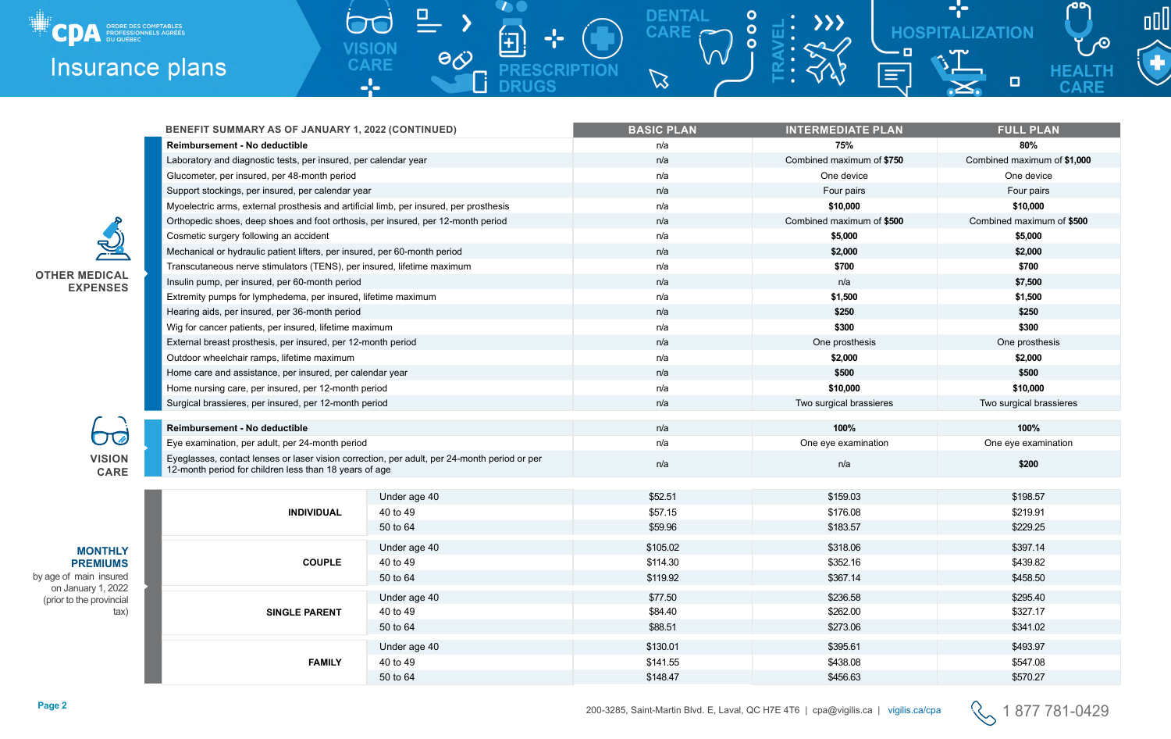

| BENEFIT SUMMARY AS OF JANUARY 1, 2022 (CONTINUED)                                                                                                      |              | <b>BASIC PLAN</b> | <b>INTERMEDIATE PLAN</b>  | <b>FULL PLAN</b>            |  |
|--------------------------------------------------------------------------------------------------------------------------------------------------------|--------------|-------------------|---------------------------|-----------------------------|--|
| Reimbursement - No deductible                                                                                                                          |              | n/a               | 75%                       | 80%                         |  |
| Laboratory and diagnostic tests, per insured, per calendar year                                                                                        |              | n/a               | Combined maximum of \$750 | Combined maximum of \$1,000 |  |
| Glucometer, per insured, per 48-month period                                                                                                           |              | n/a               | One device                | One device                  |  |
| Support stockings, per insured, per calendar year                                                                                                      |              | n/a               | Four pairs                | Four pairs                  |  |
| Myoelectric arms, external prosthesis and artificial limb, per insured, per prosthesis                                                                 |              | n/a               | \$10,000                  | \$10,000                    |  |
| Orthopedic shoes, deep shoes and foot orthosis, per insured, per 12-month period                                                                       |              | n/a               | Combined maximum of \$500 | Combined maximum of \$500   |  |
| Cosmetic surgery following an accident                                                                                                                 |              | n/a               | \$5,000                   | \$5,000                     |  |
| Mechanical or hydraulic patient lifters, per insured, per 60-month period                                                                              |              | n/a               | \$2,000                   | \$2,000                     |  |
| Transcutaneous nerve stimulators (TENS), per insured, lifetime maximum                                                                                 |              | n/a               | \$700                     | \$700                       |  |
| Insulin pump, per insured, per 60-month period                                                                                                         |              | n/a               | n/a                       | \$7,500                     |  |
| Extremity pumps for lymphedema, per insured, lifetime maximum                                                                                          |              | n/a               | \$1,500                   | \$1,500                     |  |
| Hearing aids, per insured, per 36-month period                                                                                                         |              | n/a               | \$250                     | \$250                       |  |
| Wig for cancer patients, per insured, lifetime maximum                                                                                                 |              | n/a               | \$300                     | \$300                       |  |
| External breast prosthesis, per insured, per 12-month period                                                                                           |              | n/a               | One prosthesis            | One prosthesis              |  |
| Outdoor wheelchair ramps, lifetime maximum                                                                                                             |              | n/a               | \$2,000                   | \$2,000                     |  |
| Home care and assistance, per insured, per calendar year                                                                                               |              | n/a               | \$500                     | \$500                       |  |
| Home nursing care, per insured, per 12-month period                                                                                                    |              | n/a               | \$10,000                  | \$10,000                    |  |
| Surgical brassieres, per insured, per 12-month period                                                                                                  |              | n/a               | Two surgical brassieres   | Two surgical brassieres     |  |
| Reimbursement - No deductible                                                                                                                          |              | n/a               | 100%                      | 100%                        |  |
| Eye examination, per adult, per 24-month period                                                                                                        |              | n/a               | One eye examination       | One eye examination         |  |
| Eyeglasses, contact lenses or laser vision correction, per adult, per 24-month period or per<br>12-month period for children less than 18 years of age |              | n/a               | n/a                       | \$200                       |  |
|                                                                                                                                                        | Under age 40 | \$52.51           | \$159.03                  | \$198.57                    |  |
| <b>INDIVIDUAL</b>                                                                                                                                      | 40 to 49     | \$57.15           | \$176.08                  | \$219.91                    |  |
|                                                                                                                                                        | 50 to 64     | \$59.96           | \$183.57                  | \$229.25                    |  |
|                                                                                                                                                        | Under age 40 | \$105.02          | \$318.06                  | \$397.14                    |  |
| <b>COUPLE</b>                                                                                                                                          | 40 to 49     | \$114.30          | \$352.16                  | \$439.82                    |  |
|                                                                                                                                                        | 50 to 64     | \$119.92          | \$367.14                  | \$458.50                    |  |
|                                                                                                                                                        | Under age 40 | \$77.50           | \$236.58                  | \$295.40                    |  |
| <b>SINGLE PARENT</b>                                                                                                                                   | 40 to 49     | \$84.40           | \$262.00                  | \$327.17                    |  |
|                                                                                                                                                        | 50 to 64     | \$88.51           | \$273.06                  | \$341.02                    |  |
|                                                                                                                                                        | Under age 40 | \$130.01          | \$395.61                  | \$493.97                    |  |
| <b>FAMILY</b>                                                                                                                                          | 40 to 49     | \$141.55          | \$438.08                  | \$547.08                    |  |
|                                                                                                                                                        | 50 to 64     | \$148.47          | \$456.63                  | \$570.27                    |  |

DENTAL<br>CARE

 $\mathbb{Z}$ 

 $\bullet$ 

 $\bullet$ 

 $\overline{O}$ 

 $\overline{I}$ 

田

 $\frac{1}{2}$ 

**PRESCRII** 

**DRUGS** 

**PTION** 

里

 $\bigcap$ 

**VISION<br>CARE** 

 $\frac{1}{2}$ 

 $\rightarrow$ 

 $\mathsf \Pi$ 

 $\theta$ 

# **OTHER MEDICAL EXPENSES**

**VISION CARE**

6

**MONTHLY PREMIUMS** 

by age of main insured on January 1, 2022 (prior to the provincial tax)





**Page 2** 200-3285, Saint-Martin Blvd. E, Laval, QC H7E 4T6 | cpa@vigilis.ca | vigilis.ca/cpa 1 877 781-0429